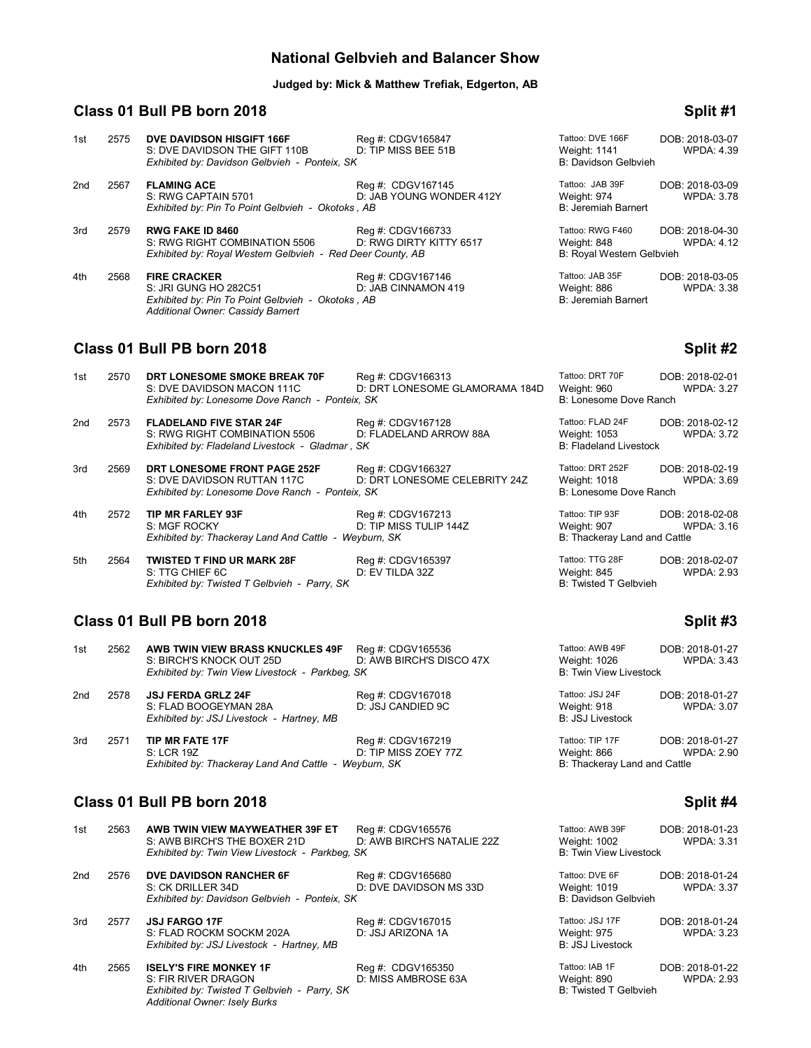### **National Gelbvieh and Balancer Show**

#### **Judged by: Mick & Matthew Trefiak, Edgerton, AB**

# **Class 01 Bull PB born 2018 Split #1**

| 1st | 2575 | DVE DAVIDSON HISGIFT 166F<br>S: DVE DAVIDSON THE GIFT 110B<br>Exhibited by: Davidson Gelbvieh - Ponteix, SK                                   | Reg #: CDGV165847<br>D: TIP MISS BEE 51B      | Tattoo: DVE 166F<br>Weight: 1141<br>B: Davidson Gelbvieh     | DOB: 2018-03-07<br><b>WPDA: 4.39</b> |
|-----|------|-----------------------------------------------------------------------------------------------------------------------------------------------|-----------------------------------------------|--------------------------------------------------------------|--------------------------------------|
| 2nd | 2567 | <b>FLAMING ACE</b><br>S: RWG CAPTAIN 5701<br>Exhibited by: Pin To Point Gelbvieh - Okotoks, AB                                                | Reg #: CDGV167145<br>D: JAB YOUNG WONDER 412Y | Tattoo: JAB 39F<br>Weight: 974<br><b>B: Jeremiah Barnert</b> | DOB: 2018-03-09<br><b>WPDA: 3.78</b> |
| 3rd | 2579 | <b>RWG FAKE ID 8460</b><br>S: RWG RIGHT COMBINATION 5506<br>Exhibited by: Royal Western Gelbvieh - Red Deer County, AB                        | Reg #: CDGV166733<br>D: RWG DIRTY KITTY 6517  | Tattoo: RWG F460<br>Weight: 848<br>B: Royal Western Gelbvieh | DOB: 2018-04-30<br><b>WPDA: 4.12</b> |
| 4th | 2568 | <b>FIRE CRACKER</b><br>S: JRI GUNG HO 282C51<br>Exhibited by: Pin To Point Gelbvieh - Okotoks, AB<br><b>Additional Owner: Cassidy Barnert</b> | Reg #: CDGV167146<br>D: JAB CINNAMON 419      | Tattoo: JAB 35F<br>Weight: 886<br><b>B: Jeremiah Barnert</b> | DOB: 2018-03-05<br><b>WPDA: 3.38</b> |
|     |      | Class 01 Bull PB born 2018                                                                                                                    |                                               |                                                              | Split #2                             |

| 1st | 2570 | DRT LONESOME SMOKE BREAK 70F<br>S: DVE DAVIDSON MACON 111C<br>Exhibited by: Lonesome Dove Ranch - Ponteix, SK      | Reg #: CDGV166313<br>D: DRT LONESOME GLAMORAMA 184D | Tattoo: DRT 70F<br>Weight: 960<br>B: Lonesome Dove Ranch          | DOB: 2018-02-01<br><b>WPDA: 3.27</b> |
|-----|------|--------------------------------------------------------------------------------------------------------------------|-----------------------------------------------------|-------------------------------------------------------------------|--------------------------------------|
| 2nd | 2573 | <b>FLADELAND FIVE STAR 24F</b><br>S: RWG RIGHT COMBINATION 5506<br>Exhibited by: Fladeland Livestock - Gladmar, SK | Reg #: CDGV167128<br>D: FLADELAND ARROW 88A         | Tattoo: FLAD 24F<br>Weight: 1053<br><b>B: Fladeland Livestock</b> | DOB: 2018-02-12<br><b>WPDA: 3.72</b> |
| 3rd | 2569 | DRT LONESOME FRONT PAGE 252F<br>S: DVE DAVIDSON RUTTAN 117C<br>Exhibited by: Lonesome Dove Ranch - Ponteix, SK     | Reg #: CDGV166327<br>D: DRT LONESOME CELEBRITY 24Z  | Tattoo: DRT 252F<br>Weight: 1018<br>B: Lonesome Dove Ranch        | DOB: 2018-02-19<br><b>WPDA: 3.69</b> |
| 4th | 2572 | <b>TIP MR FARLEY 93F</b><br>S: MGF ROCKY<br>Exhibited by: Thackeray Land And Cattle - Weyburn, SK                  | Reg #: CDGV167213<br>D: TIP MISS TULIP 144Z         | Tattoo: TIP 93F<br>Weiaht: 907<br>B: Thackeray Land and Cattle    | DOB: 2018-02-08<br>WPDA: 3.16        |
| 5th | 2564 | <b>TWISTED T FIND UR MARK 28F</b><br>S: TTG CHIEF 6C<br>Exhibited by: Twisted T Gelbvieh - Parry, SK               | Reg #: CDGV165397<br>D: EV TILDA 32Z                | Tattoo: TTG 28F<br>Weight: 845<br><b>B: Twisted T Gelbvieh</b>    | DOB: 2018-02-07<br><b>WPDA: 2.93</b> |

# **Class 01 Bull PB born 2018 Split #3 Split #3**

| 1st | 2562 | AWB TWIN VIEW BRASS KNUCKLES 49F<br>S: BIRCH'S KNOCK OUT 25D                                    | Reg #: CDGV165536<br>D: AWB BIRCH'S DISCO 47X | Tattoo: AWB 49F                                                | DOB: 2018-01-27<br>WPDA: 3.43 |
|-----|------|-------------------------------------------------------------------------------------------------|-----------------------------------------------|----------------------------------------------------------------|-------------------------------|
|     |      | Exhibited by: Twin View Livestock - Parkbeg, SK                                                 |                                               | Weight: 1026<br><b>B: Twin View Livestock</b>                  |                               |
| 2nd | 2578 | <b>JSJ FERDA GRLZ 24F</b><br>S: FLAD BOOGEYMAN 28A<br>Exhibited by: JSJ Livestock - Hartney, MB | Reg #: CDGV167018<br>D: JSJ CANDIED 9C        | Tattoo: JSJ 24F<br>Weight: 918<br><b>B: JSJ Livestock</b>      | DOB: 2018-01-27<br>WPDA: 3.07 |
| 3rd | 2571 | <b>TIP MR FATE 17F</b><br>S: LCR 19Z<br>Exhibited by: Thackeray Land And Cattle - Weyburn, SK   | Reg #: CDGV167219<br>D: TIP MISS ZOEY 77Z     | Tattoo: TIP 17F<br>Weight: 866<br>B: Thackeray Land and Cattle | DOB: 2018-01-27<br>WPDA: 2.90 |

# **Class 01 Bull PB born 2018 Split #4**

| 1st | 2563 | AWB TWIN VIEW MAYWEATHER 39F ET<br>S: AWB BIRCH'S THE BOXER 21D<br>Exhibited by: Twin View Livestock - Parkbeg, SK                           | Reg #: CDGV165576<br>D: AWB BIRCH'S NATALIE 22Z | Tattoo: AWB 39F<br>Weight: 1002<br><b>B: Twin View Livestock</b> | DOB: 2018-01-23<br><b>WPDA: 3.31</b> |
|-----|------|----------------------------------------------------------------------------------------------------------------------------------------------|-------------------------------------------------|------------------------------------------------------------------|--------------------------------------|
| 2nd | 2576 | DVE DAVIDSON RANCHER 6F<br>S: CK DRILLER 34D<br>Exhibited by: Davidson Gelbvieh - Ponteix, SK                                                | Reg #: CDGV165680<br>D: DVE DAVIDSON MS 33D     | Tattoo: DVE 6F<br>Weight: 1019<br>B: Davidson Gelbvieh           | DOB: 2018-01-24<br><b>WPDA: 3.37</b> |
| 3rd | 2577 | <b>JSJ FARGO 17F</b><br>S: FLAD ROCKM SOCKM 202A<br>Exhibited by: JSJ Livestock - Hartney, MB                                                | Reg #: CDGV167015<br>D: JSJ ARIZONA 1A          | Tattoo: JSJ 17F<br>Weight: 975<br><b>B: JSJ Livestock</b>        | DOB: 2018-01-24<br><b>WPDA: 3.23</b> |
| 4th | 2565 | <b>ISELY'S FIRE MONKEY 1F</b><br>S: FIR RIVER DRAGON<br>Exhibited by: Twisted T Gelbvieh - Parry, SK<br><b>Additional Owner: Isely Burks</b> | Reg #: CDGV165350<br>D: MISS AMBROSE 63A        | Tattoo: IAB 1F<br>Weight: 890<br><b>B: Twisted T Gelbvieh</b>    | DOB: 2018-01-22<br><b>WPDA: 2.93</b> |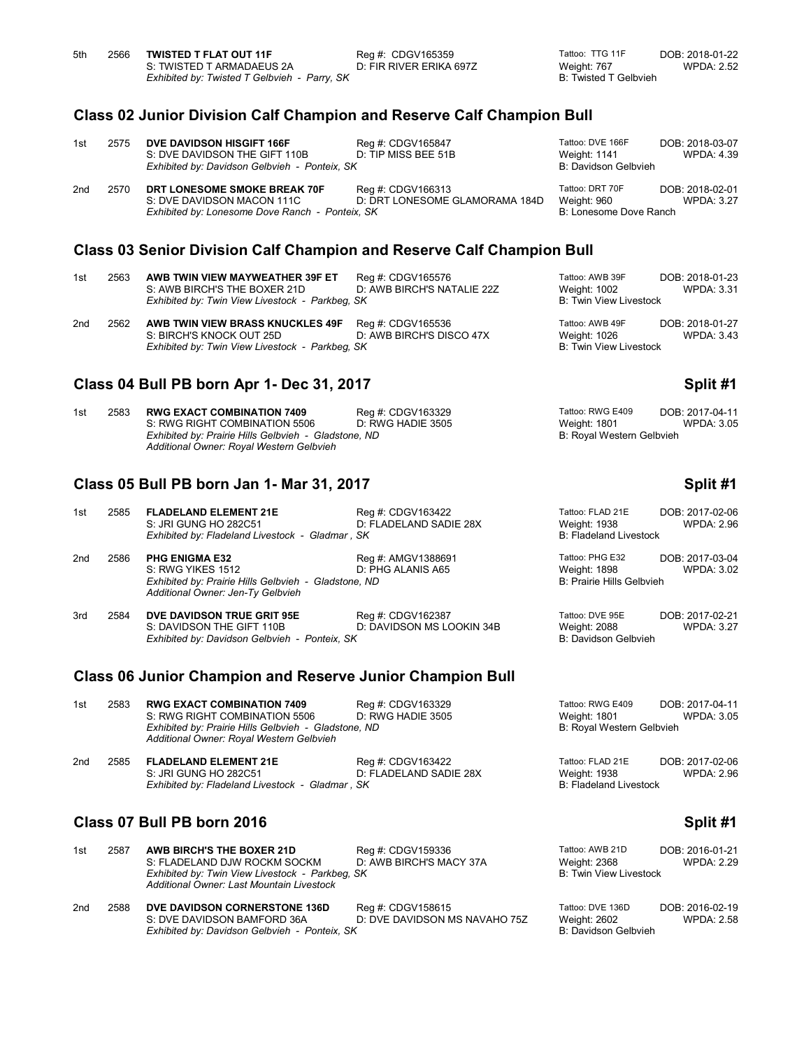### **Class 02 Junior Division Calf Champion and Reserve Calf Champion Bull**

| 1st             | 2575 | DVE DAVIDSON HISGIFT 166F<br>S: DVE DAVIDSON THE GIFT 110B<br>Exhibited by: Davidson Gelbvieh - Ponteix, SK   | Reg #: CDGV165847<br>D: TIP MISS BEE 51B            | Tattoo: DVE 166F<br>Weight: 1141<br>B: Davidson Gelbvieh | DOB: 2018-03-07<br>WPDA: 4.39        |
|-----------------|------|---------------------------------------------------------------------------------------------------------------|-----------------------------------------------------|----------------------------------------------------------|--------------------------------------|
| 2 <sub>nd</sub> | 2570 | DRT LONESOME SMOKE BREAK 70F<br>S: DVE DAVIDSON MACON 111C<br>Exhibited by: Lonesome Dove Ranch - Ponteix, SK | Reg #: CDGV166313<br>D: DRT LONESOME GLAMORAMA 184D | Tattoo: DRT 70F<br>Weight: 960<br>B: Lonesome Dove Ranch | DOB: 2018-02-01<br><b>WPDA: 3.27</b> |

# **Class 03 Senior Division Calf Champion and Reserve Calf Champion Bull**

| 1st | 2563 | AWB TWIN VIEW MAYWEATHER 39F ET<br>S: AWB BIRCH'S THE BOXER 21D<br>Exhibited by: Twin View Livestock - Parkbeg, SK | Reg #: CDGV165576<br>D: AWB BIRCH'S NATALIE 22Z | Tattoo: AWB 39F<br>Weight: 1002<br>B: Twin View Livestock | DOB: 2018-01-23<br>WPDA: 3.31 |
|-----|------|--------------------------------------------------------------------------------------------------------------------|-------------------------------------------------|-----------------------------------------------------------|-------------------------------|
| 2nd | 2562 | AWB TWIN VIEW BRASS KNUCKLES 49F                                                                                   | Reg #: CDGV165536                               | Tattoo: AWB 49F                                           | DOB: 2018-01-27               |

S: BIRCH'S KNOCK OUT 25D D: AWB BIRCH'S DISCO 47X Weight: 1026 WPDA: 3.43 *Exhibited by: Twin View Livestock - Parkbeg, SK* B: Twin View Livestock

### **Class 04 Bull PB born Apr 1- Dec 31, 2017 Split #1**

| 1st | 2583 | <b>RWG EXACT COMBINATION 7409</b><br>S: RWG RIGHT COMBINATION 5506                               | Reg #: CDGV163329<br>D: RWG HADIE 3505 | Tattoo: RWG E409<br>Weight: 1801 | DOB: 2017-04-11<br>WPDA: 3.05 |
|-----|------|--------------------------------------------------------------------------------------------------|----------------------------------------|----------------------------------|-------------------------------|
|     |      | Exhibited by: Prairie Hills Gelbvieh - Gladstone, ND<br>Additional Owner: Royal Western Gelbvieh |                                        | B: Royal Western Gelbvieh        |                               |

### **Class 05 Bull PB born Jan 1- Mar 31, 2017 Split #1**

| 1st | 2585 | <b>FLADELAND ELEMENT 21E</b><br>S: JRI GUNG HO 282C51<br>Exhibited by: Fladeland Livestock - Gladmar, SK                                | Reg #: CDGV163422<br>D: FLADELAND SADIE 28X    | Tattoo: FLAD 21E<br>Weight: 1938<br><b>B: Fladeland Livestock</b> | DOB: 2017-02-06<br><b>WPDA: 2.96</b> |
|-----|------|-----------------------------------------------------------------------------------------------------------------------------------------|------------------------------------------------|-------------------------------------------------------------------|--------------------------------------|
| 2nd | 2586 | <b>PHG ENIGMA E32</b><br>S: RWG YIKES 1512<br>Exhibited by: Prairie Hills Gelbvieh - Gladstone, ND<br>Additional Owner: Jen-Ty Gelbvieh | Reg #: AMGV1388691<br>D: PHG ALANIS A65        | Tattoo: PHG E32<br>Weight: 1898<br>B: Prairie Hills Gelbvieh      | DOB: 2017-03-04<br>WPDA: 3.02        |
| 3rd | 2584 | DVE DAVIDSON TRUE GRIT 95E<br>S: DAVIDSON THE GIFT 110B<br>Exhibited by: Davidson Gelbvieh - Ponteix, SK                                | Reg #: CDGV162387<br>D: DAVIDSON MS LOOKIN 34B | Tattoo: DVE 95E<br>Weight: 2088<br>B: Davidson Gelbvieh           | DOB: 2017-02-21<br><b>WPDA: 3.27</b> |
|     |      | <b>Class 06 Junior Champion and Reserve Junior Champion Bull</b>                                                                        |                                                |                                                                   |                                      |
|     |      |                                                                                                                                         |                                                |                                                                   |                                      |

| 1st | 2583 | <b>RWG EXACT COMBINATION 7409</b>                                                                | Reg #: CDGV163329      | Tattoo: RWG E409              | DOB: 2017-04-11 |
|-----|------|--------------------------------------------------------------------------------------------------|------------------------|-------------------------------|-----------------|
|     |      | S: RWG RIGHT COMBINATION 5506                                                                    | D: RWG HADIE 3505      | Weight: 1801                  | WPDA: 3.05      |
|     |      | Exhibited by: Prairie Hills Gelbvieh - Gladstone, ND<br>Additional Owner: Royal Western Gelbvieh |                        | B: Royal Western Gelbvieh     |                 |
| 2nd | 2585 | <b>FLADELAND ELEMENT 21E</b>                                                                     | Reg #: CDGV163422      | Tattoo: FLAD 21E              | DOB: 2017-02-06 |
|     |      | S: JRI GUNG HO 282C51                                                                            | D: FLADELAND SADIE 28X | Weight: 1938                  | WPDA: 2.96      |
|     |      | Exhibited by: Fladeland Livestock - Gladmar, SK                                                  |                        | <b>B: Fladeland Livestock</b> |                 |

# **Class 07 Bull PB born 2016 Split #1 Split #1 Split #1 Split #1**

*Exhibited by: Davidson Gelbvieh - Ponteix, SK* 

| 1st | 2587 | <b>AWB BIRCH'S THE BOXER 21D</b>                                                                                           | Reg #: CDGV159336                                                                | Tattoo: AWB 21D                    | DOB: 2016-01-21                     |
|-----|------|----------------------------------------------------------------------------------------------------------------------------|----------------------------------------------------------------------------------|------------------------------------|-------------------------------------|
|     |      | S: FLADELAND DJW ROCKM SOCKM                                                                                               | D: AWB BIRCH'S MACY 37A                                                          | Weight: 2368                       | <b>WPDA: 2.29</b>                   |
|     |      | Exhibited by: Twin View Livestock - Parkbeg, SK<br>Additional Owner: Last Mountain Livestock                               |                                                                                  | B: Twin View Livestock             |                                     |
| 2nd | 2588 | DVE DAVIDSON CORNERSTONE 136D<br>$C \cdot D \vee C$ $D \wedge \vee D \wedge C$ $D \wedge D \wedge C$ $D \wedge D \wedge C$ | Reg #: CDGV158615<br>$D1$ , $D1$ / $E1$ $D1$ // $D2$ $D3$ // $D4$ $D5$ $D7$ $D8$ | Tattoo: DVE 136D<br>$Moint$ $2602$ | DOB: 2016-02-19<br>$MDDA \cdot 2EQ$ |

- -
- S: DVE DAVIDSON BAMFORD 36A D: DVE DAVIDSON MS NAVAHO 75Z Weight: 2602 WPDA: 2.58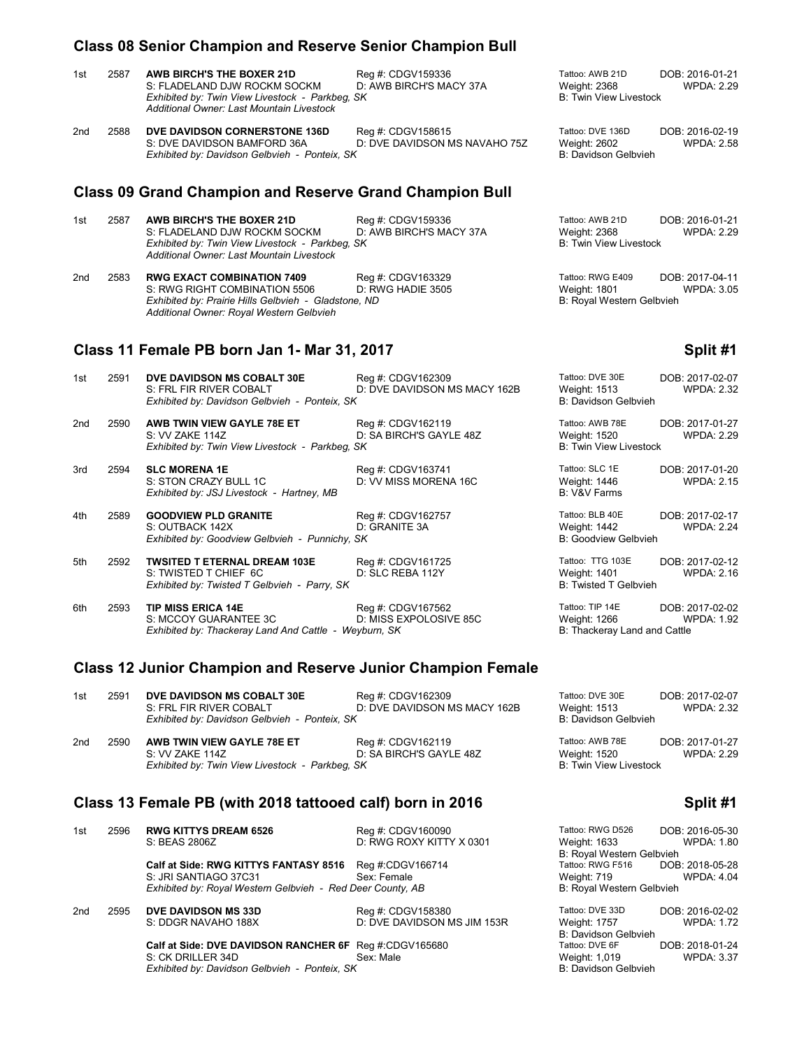### **Class 08 Senior Champion and Reserve Senior Champion Bull**

| 1st             | 2587 | <b>AWB BIRCH'S THE BOXER 21D</b><br>S: FLADELAND DJW ROCKM SOCKM<br>Exhibited by: Twin View Livestock - Parkbeg, SK<br>Additional Owner: Last Mountain Livestock       | Reg #: CDGV159336<br>D: AWB BIRCH'S MACY 37A       | Tattoo: AWB 21D<br><b>Weight: 2368</b><br><b>B: Twin View Livestock</b> | DOB: 2016-01-21<br><b>WPDA: 2.29</b> |
|-----------------|------|------------------------------------------------------------------------------------------------------------------------------------------------------------------------|----------------------------------------------------|-------------------------------------------------------------------------|--------------------------------------|
| 2nd             | 2588 | DVE DAVIDSON CORNERSTONE 136D<br>S: DVE DAVIDSON BAMFORD 36A<br>Exhibited by: Davidson Gelbvieh - Ponteix, SK                                                          | Reg #: CDGV158615<br>D: DVE DAVIDSON MS NAVAHO 75Z | Tattoo: DVE 136D<br>Weight: 2602<br>B: Davidson Gelbvieh                | DOB: 2016-02-19<br><b>WPDA: 2.58</b> |
|                 |      | <b>Class 09 Grand Champion and Reserve Grand Champion Bull</b>                                                                                                         |                                                    |                                                                         |                                      |
| 1st             | 2587 | <b>AWB BIRCH'S THE BOXER 21D</b><br>S: FLADELAND DJW ROCKM SOCKM<br>Exhibited by: Twin View Livestock - Parkbeg, SK<br>Additional Owner: Last Mountain Livestock       | Reg #: CDGV159336<br>D: AWB BIRCH'S MACY 37A       | Tattoo: AWB 21D<br><b>Weight: 2368</b><br><b>B: Twin View Livestock</b> | DOB: 2016-01-21<br><b>WPDA: 2.29</b> |
| 2 <sub>nd</sub> | 2583 | <b>RWG EXACT COMBINATION 7409</b><br>S: RWG RIGHT COMBINATION 5506<br>Exhibited by: Prairie Hills Gelbvieh - Gladstone, ND<br>Additional Owner: Royal Western Gelbvieh | Reg #: CDGV163329<br>D: RWG HADIE 3505             | Tattoo: RWG E409<br><b>Weight: 1801</b><br>B: Royal Western Gelbvieh    | DOB: 2017-04-11<br><b>WPDA: 3.05</b> |
|                 |      | Class 11 Female PB born Jan 1- Mar 31, 2017                                                                                                                            |                                                    |                                                                         | Split #1                             |
| 1st             | 2591 | DVE DAVIDSON MS COBALT 30E<br>S: FRL FIR RIVER COBALT<br>Exhibited by: Davidson Gelbvieh - Ponteix, SK                                                                 | Reg #: CDGV162309<br>D: DVE DAVIDSON MS MACY 162B  | Tattoo: DVE 30E<br><b>Weight: 1513</b><br>B: Davidson Gelbvieh          | DOB: 2017-02-07<br><b>WPDA: 2.32</b> |
| 2 <sub>nd</sub> | 2590 | AWB TWIN VIEW GAYLE 78E ET<br>S: VV ZAKE 114Z<br>Exhibited by: Twin View Livestock - Parkbeg, SK                                                                       | Reg #: CDGV162119<br>D: SA BIRCH'S GAYLE 48Z       | Tattoo: AWB 78E<br>Weight: 1520<br><b>B: Twin View Livestock</b>        | DOB: 2017-01-27<br><b>WPDA: 2.29</b> |
| 3rd             | 2594 | <b>SLC MORENA 1E</b><br>S: STON CRAZY BULL 1C<br>Exhibited by: JSJ Livestock - Hartney, MB                                                                             | Req #: CDGV163741<br>D: VV MISS MORENA 16C         | Tattoo: SLC 1E<br>Weight: 1446<br>B: V&V Farms                          | DOB: 2017-01-20<br><b>WPDA: 2.15</b> |
| 4th             | 2589 | <b>GOODVIEW PLD GRANITE</b>                                                                                                                                            | Rea #: CDGV162757                                  | Tattoo: BLB 40E                                                         | DOB: 2017-02-17                      |

S: OUTBACK 142X **D: GRANITE 3A** D: GRANITE 3A Weight: 1442 WPDA: 2.24 Exhibited by: Goodview Gelbvieh - Punnichy, SK

5th 2592 **TWSITED T ETERNAL DREAM 103E** Reg #: CDGV161725 Tattoo: TTG 103E DOB: 2017-02-12<br>S: TWISTED T CHIEF 6C D: SLC REBA 112Y Weight: 1401 WPDA: 2.16 S: TWISTED T CHIEF 6C D: SLC REBA 112Y Weight: 1401<br>
Exhibited by: Twisted T Gelbvieh - Parry, SK B: Twisted T Gelbvieh

6th 2593 **TIP MISS ERICA 14E** Reg #: CDGV167562 Trattoo: TIP 14E DOB: 2017-02-02<br>S: MCCOY GUARANTEE 3C D: MISS EXPOLOSIVE 85C Weight: 1266 WPDA: 1.92 S: MCCOY GUARANTEE 3C D: MISS EXPOLOSIVE 85C Weight: 1266 WEIGHT: 1266 WIER EXPOLOSIVE 85C WIER EXPOLOSIVE 85C<br>Exhibited by: Thackeray Land And Cattle - Weyburn, SK B: Thackeray Land and Cattle

### **Class 12 Junior Champion and Reserve Junior Champion Female**

| 1st | 2591 | DVE DAVIDSON MS COBALT 30E<br>S: FRL FIR RIVER COBALT<br>Exhibited by: Davidson Gelbvieh - Ponteix, SK | Reg #: CDGV162309<br>D: DVE DAVIDSON MS MACY 162B | Tattoo: DVE 30E<br>Weight: 1513<br>B: Davidson Gelbvieh          | DOB: 2017-02-07<br><b>WPDA: 2.32</b> |
|-----|------|--------------------------------------------------------------------------------------------------------|---------------------------------------------------|------------------------------------------------------------------|--------------------------------------|
| 2nd | 2590 | AWB TWIN VIEW GAYLE 78E ET<br>S: VV ZAKE 114Z<br>Exhibited by: Twin View Livestock - Parkbeg, SK       | Reg #: CDGV162119<br>D: SA BIRCH'S GAYLE 48Z      | Tattoo: AWB 78E<br>Weight: 1520<br><b>B: Twin View Livestock</b> | DOB: 2017-01-27<br><b>WPDA: 2.29</b> |

# **Class 13 Female PB (with 2018 tattooed calf) born in 2016 Split #1**

**Exhibited by: Goodview Gelbvieh - Punnichy, SK** 

**Exhibited by: Twisted T Gelbvieh - Parry, SK** 

*Exhibited by: Thackeray Land And Cattle - Weyburn, SK* 

| 1st | 2596 | <b>RWG KITTYS DREAM 6526</b>                               | Reg #: CDGV160090           | Tattoo: RWG D526          | DOB: 2016-05-30   |
|-----|------|------------------------------------------------------------|-----------------------------|---------------------------|-------------------|
|     |      | S: BEAS 2806Z                                              | D: RWG ROXY KITTY X 0301    | Weight: 1633              | WPDA: 1.80        |
|     |      |                                                            |                             | B: Royal Western Gelbvieh |                   |
|     |      | Calf at Side: RWG KITTYS FANTASY 8516                      | Reg #:CDGV166714            | Tattoo: RWG F516          | DOB: 2018-05-28   |
|     |      | S: JRI SANTIAGO 37C31                                      | Sex: Female                 | Weight: 719               | <b>WPDA: 4.04</b> |
|     |      | Exhibited by: Royal Western Gelbvieh - Red Deer County, AB |                             | B: Royal Western Gelbvieh |                   |
| 2nd | 2595 | <b>DVE DAVIDSON MS 33D</b>                                 | Reg #: CDGV158380           | Tattoo: DVE 33D           | DOB: 2016-02-02   |
|     |      | S: DDGR NAVAHO 188X                                        | D: DVE DAVIDSON MS JIM 153R | Weight: 1757              | <b>WPDA: 1.72</b> |
|     |      |                                                            |                             | B: Davidson Gelbvieh      |                   |
|     |      | Calf at Side: DVE DAVIDSON RANCHER 6F Req #:CDGV165680     |                             | Tattoo: DVE 6F            | DOB: 2018-01-24   |
|     |      | S: CK DRILLER 34D                                          | Sex: Male                   | Weight: 1.019             | <b>WPDA: 3.37</b> |

S: CK DRILLER 34D<br>
Extibited by: Davidson Gelbvieh - Ponteix, SK<br>
B: Davidson Gelbvieh - Ponteix, SK *Exhibited by: Davidson Gelbvieh - Ponteix, SK*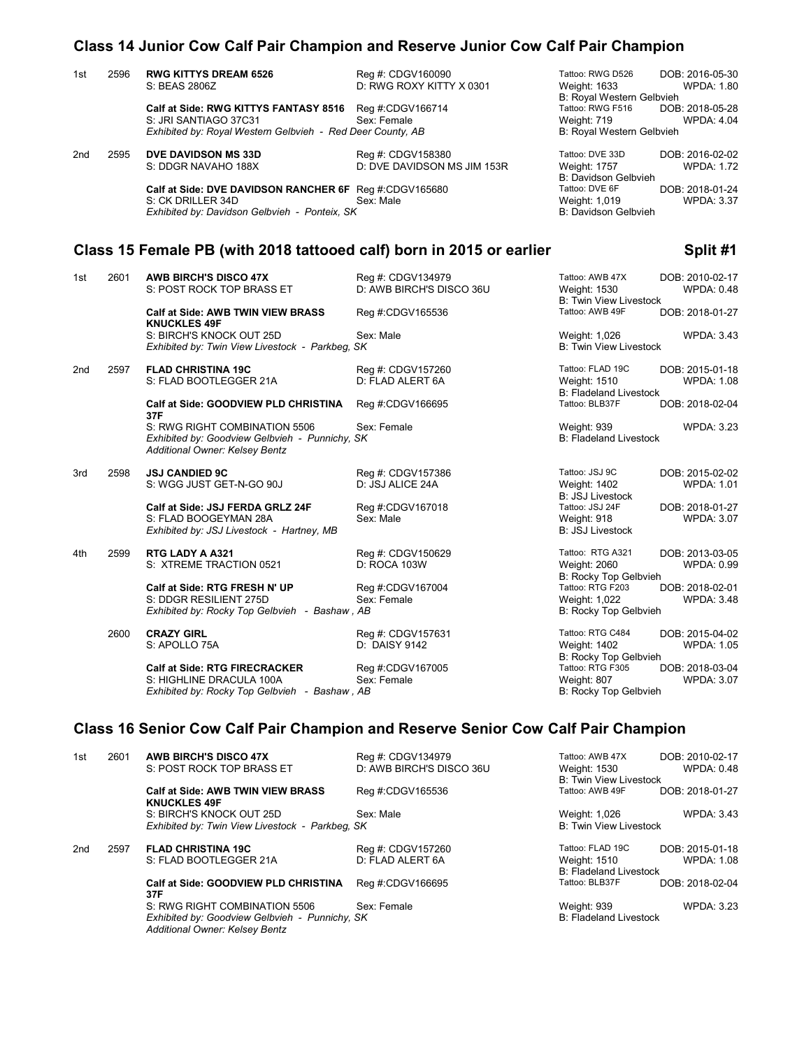# **Class 14 Junior Cow Calf Pair Champion and Reserve Junior Cow Calf Pair Champion**

| Tattoo: RWG D526<br>2596<br><b>RWG KITTYS DREAM 6526</b><br>Reg #: CDGV160090<br>1st<br>D: RWG ROXY KITTY X 0301<br>S: BEAS 2806Z<br>Weight: 1633<br>B: Royal Western Gelbvieh<br>Tattoo: RWG F516<br>Calf at Side: RWG KITTYS FANTASY 8516 Reg #:CDGV166714<br>S: JRI SANTIAGO 37C31<br>Sex: Female<br>Weight: 719<br>Exhibited by: Royal Western Gelbvieh - Red Deer County, AB<br>B: Royal Western Gelbvieh<br>2595<br>DVE DAVIDSON MS 33D<br>Tattoo: DVE 33D<br>2nd<br>Reg #: CDGV158380<br>S: DDGR NAVAHO 188X<br>D: DVE DAVIDSON MS JIM 153R<br>Weight: 1757<br>B: Davidson Gelbvieh |                                      |
|--------------------------------------------------------------------------------------------------------------------------------------------------------------------------------------------------------------------------------------------------------------------------------------------------------------------------------------------------------------------------------------------------------------------------------------------------------------------------------------------------------------------------------------------------------------------------------------------|--------------------------------------|
|                                                                                                                                                                                                                                                                                                                                                                                                                                                                                                                                                                                            | DOB: 2016-05-30<br><b>WPDA: 1.80</b> |
|                                                                                                                                                                                                                                                                                                                                                                                                                                                                                                                                                                                            | DOB: 2018-05-28                      |
|                                                                                                                                                                                                                                                                                                                                                                                                                                                                                                                                                                                            | <b>WPDA: 4.04</b>                    |
|                                                                                                                                                                                                                                                                                                                                                                                                                                                                                                                                                                                            |                                      |
|                                                                                                                                                                                                                                                                                                                                                                                                                                                                                                                                                                                            | DOB: 2016-02-02<br><b>WPDA: 1.72</b> |
| Tattoo: DVE 6F<br>Calf at Side: DVE DAVIDSON RANCHER 6F Reg #:CDGV165680                                                                                                                                                                                                                                                                                                                                                                                                                                                                                                                   | DOB: 2018-01-24                      |
| S: CK DRILLER 34D<br>Sex: Male<br>Weight: 1,019<br>Exhibited by: Davidson Gelbvieh - Ponteix, SK<br>B: Davidson Gelbvieh                                                                                                                                                                                                                                                                                                                                                                                                                                                                   | <b>WPDA: 3.37</b>                    |
| Class 15 Female PB (with 2018 tattooed calf) born in 2015 or earlier                                                                                                                                                                                                                                                                                                                                                                                                                                                                                                                       | Split #1                             |
| Tattoo: AWB 47X<br>1st<br>2601<br><b>AWB BIRCH'S DISCO 47X</b><br>Reg #: CDGV134979<br>D: AWB BIRCH'S DISCO 36U<br>S: POST ROCK TOP BRASS ET<br>Weight: 1530<br><b>B: Twin View Livestock</b>                                                                                                                                                                                                                                                                                                                                                                                              | DOB: 2010-02-17<br><b>WPDA: 0.48</b> |
| Tattoo: AWB 49F<br>Calf at Side: AWB TWIN VIEW BRASS<br>Reg #:CDGV165536<br><b>KNUCKLES 49F</b>                                                                                                                                                                                                                                                                                                                                                                                                                                                                                            | DOB: 2018-01-27                      |
| S: BIRCH'S KNOCK OUT 25D<br>Sex: Male<br>Weight: 1,026<br><b>B: Twin View Livestock</b><br>Exhibited by: Twin View Livestock - Parkbeg, SK                                                                                                                                                                                                                                                                                                                                                                                                                                                 | <b>WPDA: 3.43</b>                    |
| Tattoo: FLAD 19C<br>2597<br><b>FLAD CHRISTINA 19C</b><br>Reg #: CDGV157260<br>2nd<br>S: FLAD BOOTLEGGER 21A<br>D: FLAD ALERT 6A<br>Weight: 1510                                                                                                                                                                                                                                                                                                                                                                                                                                            | DOB: 2015-01-18<br><b>WPDA: 1.08</b> |
| <b>B: Fladeland Livestock</b>                                                                                                                                                                                                                                                                                                                                                                                                                                                                                                                                                              |                                      |
| Tattoo: BLB37F<br>Calf at Side: GOODVIEW PLD CHRISTINA<br>Reg #:CDGV166695<br>37F                                                                                                                                                                                                                                                                                                                                                                                                                                                                                                          | DOB: 2018-02-04                      |
| S: RWG RIGHT COMBINATION 5506<br>Sex: Female<br>Weight: 939<br>Exhibited by: Goodview Gelbvieh - Punnichy, SK<br><b>B: Fladeland Livestock</b><br>Additional Owner: Kelsey Bentz                                                                                                                                                                                                                                                                                                                                                                                                           | <b>WPDA: 3.23</b>                    |
| <b>JSJ CANDIED 9C</b><br>Tattoo: JSJ 9C<br>2598<br>Reg #: CDGV157386<br>3rd                                                                                                                                                                                                                                                                                                                                                                                                                                                                                                                | DOB: 2015-02-02                      |
| S: WGG JUST GET-N-GO 90J<br>D: JSJ ALICE 24A<br><b>Weight: 1402</b><br><b>B: JSJ Livestock</b>                                                                                                                                                                                                                                                                                                                                                                                                                                                                                             | <b>WPDA: 1.01</b>                    |
| Tattoo: JSJ 24F<br>Calf at Side: JSJ FERDA GRLZ 24F<br>Reg #:CDGV167018                                                                                                                                                                                                                                                                                                                                                                                                                                                                                                                    | DOB: 2018-01-27                      |
| Sex: Male<br>S: FLAD BOOGEYMAN 28A<br>Weight: 918<br><b>B: JSJ Livestock</b><br>Exhibited by: JSJ Livestock - Hartney, MB                                                                                                                                                                                                                                                                                                                                                                                                                                                                  | <b>WPDA: 3.07</b>                    |
| Tattoo: RTG A321<br>4th<br>2599<br>RTG LADY A A321<br>Reg #: CDGV150629<br>S: XTREME TRACTION 0521<br>D: ROCA 103W<br><b>Weight: 2060</b>                                                                                                                                                                                                                                                                                                                                                                                                                                                  | DOB: 2013-03-05<br><b>WPDA: 0.99</b> |
| B: Rocky Top Gelbvieh                                                                                                                                                                                                                                                                                                                                                                                                                                                                                                                                                                      |                                      |
| Tattoo: RTG F203<br>Calf at Side: RTG FRESH N' UP<br>Reg #:CDGV167004<br>Sex: Female<br>S: DDGR RESILIENT 275D<br>Weight: 1,022                                                                                                                                                                                                                                                                                                                                                                                                                                                            | DOB: 2018-02-01<br><b>WPDA: 3.48</b> |
| Exhibited by: Rocky Top Gelbvieh - Bashaw, AB<br>B: Rocky Top Gelbvieh                                                                                                                                                                                                                                                                                                                                                                                                                                                                                                                     |                                      |
| Tattoo: RTG C484<br>2600<br><b>CRAZY GIRL</b><br>Reg #: CDGV157631                                                                                                                                                                                                                                                                                                                                                                                                                                                                                                                         | DOB: 2015-04-02                      |
| S: APOLLO 75A<br>D: DAISY 9142<br>Weight: 1402<br>B: Rocky Top Gelbvieh                                                                                                                                                                                                                                                                                                                                                                                                                                                                                                                    | <b>WPDA: 1.05</b>                    |
| Calf at Side: RTG FIRECRACKER<br>Reg #:CDGV167005<br>Tattoo: RTG F305                                                                                                                                                                                                                                                                                                                                                                                                                                                                                                                      | DOB: 2018-03-04                      |
| S: HIGHLINE DRACULA 100A<br>Sex: Female<br>Weight: 807<br>Exhibited by: Rocky Top Gelbvieh - Bashaw, AB<br>B: Rocky Top Gelbvieh                                                                                                                                                                                                                                                                                                                                                                                                                                                           | WPDA: 3.07                           |

# **Class 16 Senior Cow Calf Pair Champion and Reserve Senior Cow Calf Pair Champion**

| 2601 | <b>AWB BIRCH'S DISCO 47X</b>                                    | Reg #: CDGV134979        | Tattoo: AWB 47X                                                                                   | DOB: 2010-02-17   |
|------|-----------------------------------------------------------------|--------------------------|---------------------------------------------------------------------------------------------------|-------------------|
|      | S: POST ROCK TOP BRASS ET                                       | D: AWB BIRCH'S DISCO 36U | Weight: 1530                                                                                      | <b>WPDA: 0.48</b> |
|      |                                                                 |                          | <b>B: Twin View Livestock</b>                                                                     |                   |
|      | <b>Calf at Side: AWB TWIN VIEW BRASS</b><br><b>KNUCKLES 49F</b> | Reg #:CDGV165536         | Tattoo: AWB 49F                                                                                   | DOB: 2018-01-27   |
|      | S: BIRCH'S KNOCK OUT 25D                                        | Sex: Male                | Weight: 1,026                                                                                     | <b>WPDA: 3.43</b> |
|      |                                                                 |                          | <b>B: Twin View Livestock</b>                                                                     |                   |
| 2597 | <b>FLAD CHRISTINA 19C</b>                                       | Reg #: CDGV157260        | Tattoo: FLAD 19C                                                                                  | DOB: 2015-01-18   |
|      | S: FLAD BOOTLEGGER 21A                                          | D: FLAD ALERT 6A         | <b>Weight: 1510</b>                                                                               | <b>WPDA: 1.08</b> |
|      |                                                                 |                          | <b>B: Fladeland Livestock</b>                                                                     |                   |
|      | <b>Calf at Side: GOODVIEW PLD CHRISTINA</b><br>37F              | Reg #:CDGV166695         | Tattoo: BLB37F                                                                                    | DOB: 2018-02-04   |
|      | S: RWG RIGHT COMBINATION 5506<br>Additional Owner: Kelsey Bentz | Sex: Female              | Weight: 939<br><b>B: Fladeland Livestock</b>                                                      | <b>WPDA: 3.23</b> |
|      |                                                                 |                          | Exhibited by: Twin View Livestock - Parkbeg, SK<br>Exhibited by: Goodview Gelbvieh - Punnichy, SK |                   |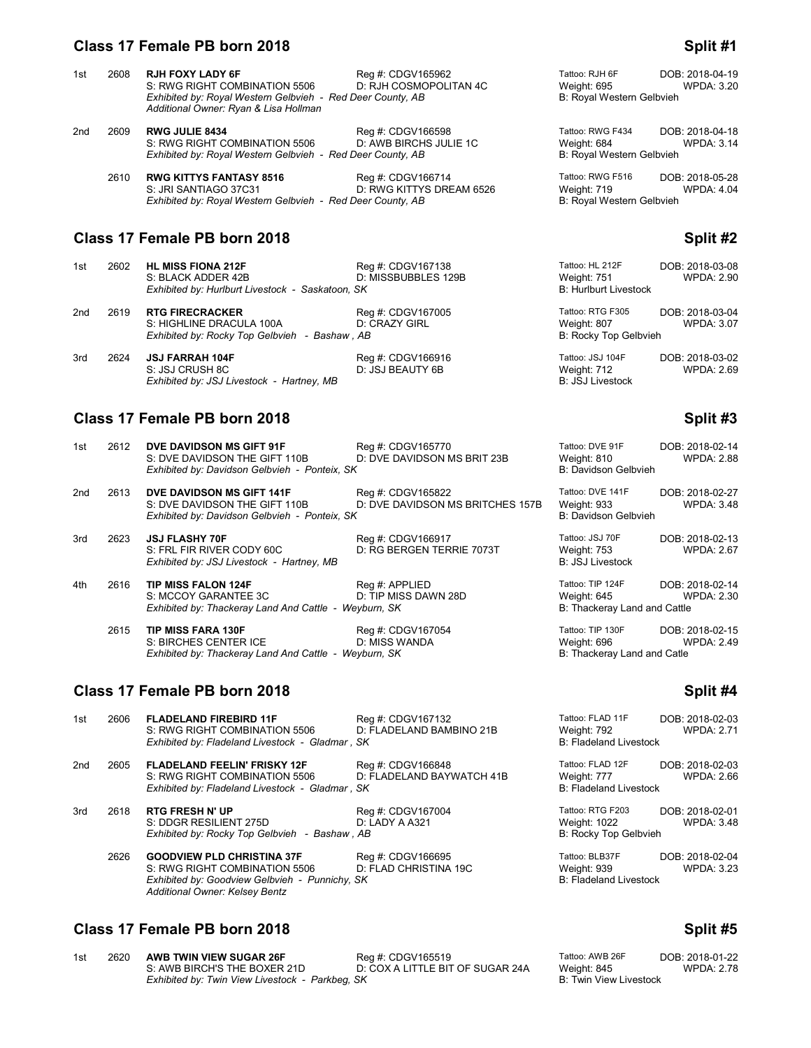# **Class 17 Female PB born 2018 Split #1 Split #1 Split #1 Split #1**

| 1st | 2608 | <b>RJH FOXY LADY 6F</b><br>S: RWG RIGHT COMBINATION 5506<br>Exhibited by: Royal Western Gelbvieh - Red Deer County, AB<br>Additional Owner: Ryan & Lisa Hollman | Reg #: CDGV165962<br>D: RJH COSMOPOLITAN 4C   | Tattoo: RJH 6F<br>Weight: 695<br>B: Royal Western Gelbvieh          | DOB: 2018-04-19<br><b>WPDA: 3.20</b> |
|-----|------|-----------------------------------------------------------------------------------------------------------------------------------------------------------------|-----------------------------------------------|---------------------------------------------------------------------|--------------------------------------|
| 2nd | 2609 | <b>RWG JULIE 8434</b><br>S: RWG RIGHT COMBINATION 5506<br>Exhibited by: Royal Western Gelbvieh - Red Deer County, AB                                            | Reg #: CDGV166598<br>D: AWB BIRCHS JULIE 1C   | Tattoo: RWG F434<br>Weight: 684<br>B: Royal Western Gelbvieh        | DOB: 2018-04-18<br><b>WPDA: 3.14</b> |
|     | 2610 | <b>RWG KITTYS FANTASY 8516</b><br>S: JRI SANTIAGO 37C31<br>Exhibited by: Royal Western Gelbvieh - Red Deer County, AB                                           | Reg #: CDGV166714<br>D: RWG KITTYS DREAM 6526 | Tattoo: RWG F516<br>Weight: 719<br><b>B: Royal Western Gelbvieh</b> | DOB: 2018-05-28<br><b>WPDA: 4.04</b> |
|     |      | Class 17 Female PB born 2018                                                                                                                                    |                                               |                                                                     | Split #2                             |
| 1st | 2602 | <b>HL MISS FIONA 212F</b><br>S: BLACK ADDER 42B<br>Exhibited by: Hurlburt Livestock - Saskatoon, SK                                                             | Reg #: CDGV167138<br>D: MISSBUBBLES 129B      | Tattoo: HL 212F<br>Weight: 751<br><b>B: Hurlburt Livestock</b>      | DOB: 2018-03-08<br><b>WPDA: 2.90</b> |
| 2nd | 2619 | <b>RTG FIRECRACKER</b><br>S: HIGHLINE DRACULA 100A<br>Exhibited by: Rocky Top Gelbvieh - Bashaw, AB                                                             | Reg #: CDGV167005<br><b>D: CRAZY GIRL</b>     | Tattoo: RTG F305<br>Weight: 807<br>B: Rocky Top Gelbvieh            | DOB: 2018-03-04<br><b>WPDA: 3.07</b> |

3rd 2624 **JSJ FARRAH 104F** Reg #: CDGV166916 Tattoo: JSJ 104F DOB: 2018-03-02 SURIFARRAH 104F Reg #: CDGV166916 Tattoo: JSJ 104F DOB: 2018-03-02<br>S: JSJ CRUSH 8C D: JSJ BEAUTY 6B Weight: 712 WPDA: 2.69<br>Exhibited by: JSJ Livestock - Hartney, MB B: JSJ BEAUTY 6B B: JSJ Livestock *Exhibited by: JSJ Livestock - Hartney, MB* 

| 1st | 2612 | DVE DAVIDSON MS GIFT 91F<br>S: DVE DAVIDSON THE GIFT 110B<br>Exhibited by: Davidson Gelbvieh - Ponteix, SK  | Reg #: CDGV165770<br>D: DVE DAVIDSON MS BRIT 23B      | Tattoo: DVE 91F<br>Weight: 810<br>B: Davidson Gelbvieh          | DOB: 2018-02-14<br><b>WPDA: 2.88</b> |
|-----|------|-------------------------------------------------------------------------------------------------------------|-------------------------------------------------------|-----------------------------------------------------------------|--------------------------------------|
| 2nd | 2613 | DVE DAVIDSON MS GIFT 141F<br>S: DVE DAVIDSON THE GIFT 110B<br>Exhibited by: Davidson Gelbvieh - Ponteix, SK | Reg #: CDGV165822<br>D: DVE DAVIDSON MS BRITCHES 157B | Tattoo: DVE 141F<br>Weight: 933<br>B: Davidson Gelbvieh         | DOB: 2018-02-27<br><b>WPDA: 3.48</b> |
| 3rd | 2623 | <b>JSJ FLASHY 70F</b><br>S: FRL FIR RIVER CODY 60C<br>Exhibited by: JSJ Livestock - Hartney, MB             | Req #: CDGV166917<br>D: RG BERGEN TERRIE 7073T        | Tattoo: JSJ 70F<br>Weight: 753<br><b>B: JSJ Livestock</b>       | DOB: 2018-02-13<br><b>WPDA: 2.67</b> |
| 4th | 2616 | <b>TIP MISS FALON 124F</b><br>S: MCCOY GARANTEE 3C<br>Exhibited by: Thackeray Land And Cattle - Weyburn, SK | Reg #: APPLIED<br>D: TIP MISS DAWN 28D                | Tattoo: TIP 124F<br>Weight: 645<br>B: Thackeray Land and Cattle | DOB: 2018-02-14<br>WPDA: 2.30        |
|     | 2615 | <b>TIP MISS FARA 130F</b><br>S: BIRCHES CENTER ICE<br>Exhibited by: Thackeray Land And Cattle - Weyburn, SK | Reg #: CDGV167054<br>D: MISS WANDA                    | Tattoo: TIP 130F<br>Weight: 696<br>B: Thackeray Land and Catle  | DOB: 2018-02-15<br><b>WPDA: 2.49</b> |

# **Class 17 Female PB born 2018 Split #4 Split #4**

| 1st | 2606 | <b>FLADELAND FIREBIRD 11F</b><br>S: RWG RIGHT COMBINATION 5506<br>Exhibited by: Fladeland Livestock - Gladmar, SK                                      | Reg #: CDGV167132<br>D: FLADELAND BAMBINO 21B  | Tattoo: FLAD 11F<br>Weight: 792<br><b>B: Fladeland Livestock</b> | DOB: 2018-02-03<br><b>WPDA: 2.71</b> |
|-----|------|--------------------------------------------------------------------------------------------------------------------------------------------------------|------------------------------------------------|------------------------------------------------------------------|--------------------------------------|
|     |      |                                                                                                                                                        |                                                |                                                                  |                                      |
| 2nd | 2605 | <b>FLADELAND FEELIN' FRISKY 12F</b><br>S: RWG RIGHT COMBINATION 5506<br>Exhibited by: Fladeland Livestock - Gladmar, SK                                | Reg #: CDGV166848<br>D: FLADELAND BAYWATCH 41B | Tattoo: FLAD 12F<br>Weight: 777<br><b>B: Fladeland Livestock</b> | DOB: 2018-02-03<br>WPDA: 2.66        |
| 3rd | 2618 | <b>RTG FRESH N' UP</b><br>S: DDGR RESILIENT 275D<br>Exhibited by: Rocky Top Gelbvieh - Bashaw, AB                                                      | Reg #: CDGV167004<br>D: LADY A A321            | Tattoo: RTG F203<br>Weight: 1022<br>B: Rocky Top Gelbvieh        | DOB: 2018-02-01<br><b>WPDA: 3.48</b> |
|     | 2626 | <b>GOODVIEW PLD CHRISTINA 37F</b><br>S: RWG RIGHT COMBINATION 5506<br>Exhibited by: Goodview Gelbvieh - Punnichy, SK<br>Additional Owner: Kelsey Bentz | Reg #: CDGV166695<br>D: FLAD CHRISTINA 19C     | Tattoo: BLB37F<br>Weight: 939<br><b>B: Fladeland Livestock</b>   | DOB: 2018-02-04<br>WPDA: 3.23        |

# **Class 17 Female PB born 2018 Split #5** Split #5

| 1st | 2620 | AWB TWIN VIEW SUGAR 26F                         | Rea #: CDGV165519                | Tattoo: AWB 26F        | DOB: 2018-01-22   |
|-----|------|-------------------------------------------------|----------------------------------|------------------------|-------------------|
|     |      | S: AWB BIRCH'S THE BOXER 21D                    | D: COX A LITTLE BIT OF SUGAR 24A | Weight: 845            | <b>WPDA: 2.78</b> |
|     |      | Exhibited by: Twin View Livestock - Parkbeg, SK |                                  | B: Twin View Livestock |                   |

| attoo: AWB 26F         | DOB: 2018-01-22   |
|------------------------|-------------------|
| Veight: 845            | <b>WPDA: 2.78</b> |
| 3: Twin View Livestock |                   |

| Tattoo: DVE 91F<br>Weight: 810<br><b>B: Davidson Gelbvieh</b>   | DOB: 2018-02-1<br><b>WPDA: 2.8</b> |
|-----------------------------------------------------------------|------------------------------------|
| Tattoo: DVE 141F<br>Weight: 933<br>B: Davidson Gelbvieh         | DOB: 2018-02-2<br><b>WPDA: 3.4</b> |
| Tattoo: JSJ 70F<br>Weight: 753<br><b>B: JSJ Livestock</b>       | DOB: 2018-02-1<br><b>WPDA: 2.6</b> |
| Tattoo: TIP 124F<br>Weight: 645<br>B: Thackeray Land and Cattle | DOB: 2018-02-1<br><b>WPDA: 2.3</b> |
| Tattoo: TIP 130F                                                | ∩∩R∙ 2018 <sub>-</sub> 02-′        |

# **Class 17 Female PB born 2018 Split #3 Split #3**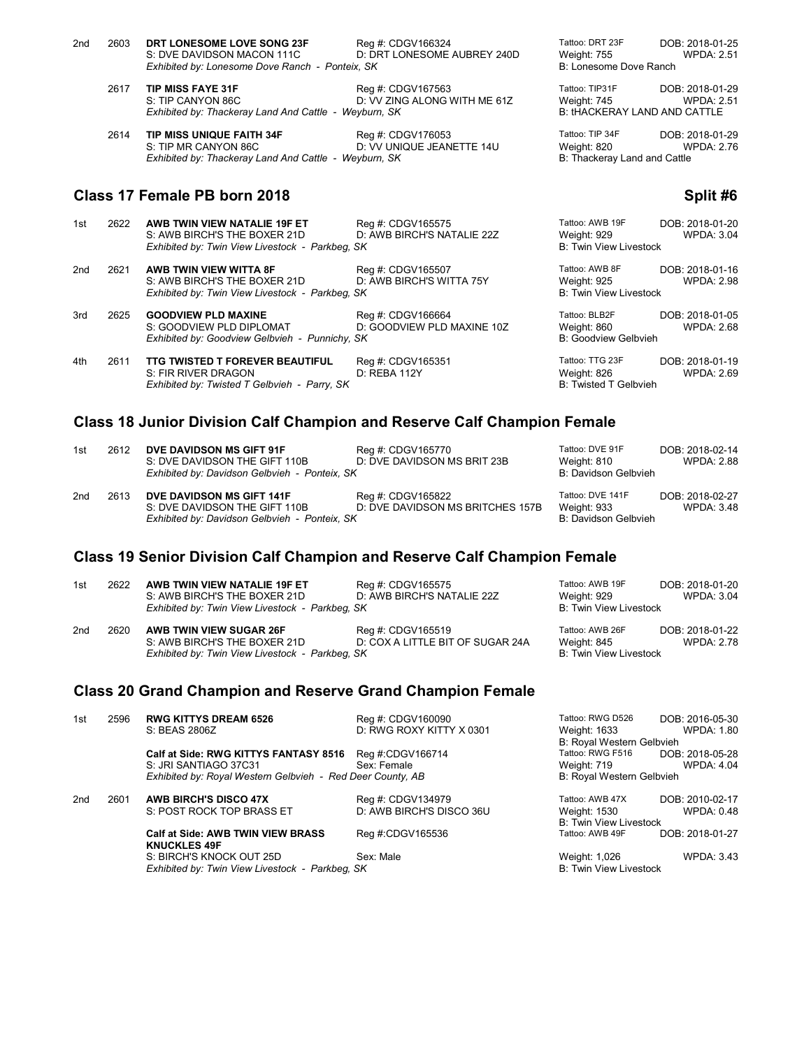| 2nd<br>2603 | DRT LONESOME LOVE SONG 23F<br>S: DVE DAVIDSON MACON 111C<br>Exhibited by: Lonesome Dove Ranch - Ponteix, SK | Reg #: CDGV166324<br>D: DRT LONESOME AUBREY 240D  | Tattoo: DRT 23F<br>Weight: 755<br>B: Lonesome Dove Ranch | DOB: 2018-01-25<br><b>WPDA: 2.51</b>                                        |
|-------------|-------------------------------------------------------------------------------------------------------------|---------------------------------------------------|----------------------------------------------------------|-----------------------------------------------------------------------------|
| 2617        | <b>TIP MISS FAYE 31F</b><br>S: TIP CANYON 86C<br>Exhibited by: Thackeray Land And Cattle - Weyburn, SK      | Reg #: CDGV167563<br>D: VV ZING ALONG WITH ME 61Z | Tattoo: TIP31F<br>Weight: 745                            | DOB: 2018-01-29<br><b>WPDA: 2.51</b><br><b>B: tHACKERAY LAND AND CATTLE</b> |

2614 **TIP MISS UNIQUE FAITH 34F** Reg #: CDGV176053 Tattoo: TIP 34F DOB: 2018-01-29<br>S: TIP MR CANYON 86C D: VV UNIQUE JEANETTE 14U Weight: 820 WPDA: 2.76 D: VV UNIQUE JEANETTE 14U Weight: 820 Wiesul William SK Wiesul B: Thackeray Land and Cattle *Exhibited by: Thackeray Land And Cattle - Weyburn, SK* 

### **Class 17 Female PB born 2018 Split #6 Split #6 Split #6 Split #6 Split #6**

#### 1st 2622 **AWB TWIN VIEW NATALIE 19F ET** Reg #: CDGV165575 Tattoo: AWB 19F DOB: 2018-01-20<br>1.0.4WB BIRCH'S THE BOXER 21D D: AWB BIRCH'S NATALIE 22Z Weight: 929 WPDA: 3.04 S: AWB BIRCH'S THE BOXER 21D D: AWB BIRCH'S NATALIE 22Z Weight: 929 Weight: 929 WPDA: 3.04<br>Exhibited by: Twin View Livestock - Parkbeg, SK BIRCH'S NATALIE 22Z B: Twin View Livestock **Exhibited by: Twin View Livestock - Parkbeg, SK** 2nd 2621 **AWB TWIN VIEW WITTA 8F** Reg #: CDGV165507 Tattoo: AWB 8F DOB: 2018-01-16<br>S: AWB BIRCH'S THE BOXER 21D D: AWB BIRCH'S WITTA 75Y Weight: 925 WPDA: 2.98 S: AWB BIRCH'S THE BOXER 21D D: AWB BIRCH'S WITTA 75Y Weight: 925<br>
Exhibited by: Twin View Livestock - Parkbeg, SK B: Twin View Livestock **Exhibited by: Twin View Livestock - Parkbeg, SK** 3rd 2625 **GOODVIEW PLD MAXINE** Reg #: CDGV166664 Tattoo: BLB2F DOB: 2018-01-05<br>S: GOODVIEW PLD DIPLOMAT D: GOODVIEW PLD MAXINE 10Z Weight: 860 WPDA: 2.68 D: GOODVIEW PLD MAXINE 10Z Weight: 860 WPDA: 2.68<br>SK B: Goodview Gelbvieh *Exhibited by: Goodview Gelbvieh - Punnichy, SK* 4th 2611 **TTG TWISTED T FOREVER BEAUTIFUL** Reg #: CDGV165351 Tattoo: TTG 23F DOB: 2018-01-19<br>S: FIR RIVER DRAGON D: REBA 112Y D: REVER 112Y Weight: 826 WPDA: 2.69 S: FIR RIVER DRAGON D: REBA 112Y SEER THE RIVER DRAGON D: REBA 112Y Weight: 826 Weight: 826 Weight: 826 B: Twisted T Gelbvieh - Parry, SK *Exhibited by: Twisted T Gelbvieh - Parry, SK*

### **Class 18 Junior Division Calf Champion and Reserve Calf Champion Female**

| 1st | 2612 | DVE DAVIDSON MS GIFT 91F<br>S: DVE DAVIDSON THE GIFT 110B<br>Exhibited by: Davidson Gelbvieh - Ponteix, SK  | Reg #: CDGV165770<br>D: DVE DAVIDSON MS BRIT 23B      | Tattoo: DVE 91F<br>Weight: 810<br>B: Davidson Gelbvieh  | DOB: 2018-02-14<br><b>WPDA: 2.88</b> |
|-----|------|-------------------------------------------------------------------------------------------------------------|-------------------------------------------------------|---------------------------------------------------------|--------------------------------------|
| 2nd | 2613 | DVE DAVIDSON MS GIFT 141F<br>S: DVE DAVIDSON THE GIFT 110B<br>Exhibited by: Davidson Gelbvieh - Ponteix, SK | Reg #: CDGV165822<br>D: DVE DAVIDSON MS BRITCHES 157B | Tattoo: DVE 141F<br>Weight: 933<br>B: Davidson Gelbvieh | DOB: 2018-02-27<br>WPDA: 3.48        |

### **Class 19 Senior Division Calf Champion and Reserve Calf Champion Female**

| 1st | 2622 | AWB TWIN VIEW NATALIE 19F ET<br>S: AWB BIRCH'S THE BOXER 21D<br>Exhibited by: Twin View Livestock - Parkbeg, SK | Reg #: CDGV165575<br>D: AWB BIRCH'S NATALIE 22Z       | Tattoo: AWB 19F<br>Weight: 929<br><b>B: Twin View Livestock</b> | DOB: 2018-01-20<br>WPDA: 3.04        |
|-----|------|-----------------------------------------------------------------------------------------------------------------|-------------------------------------------------------|-----------------------------------------------------------------|--------------------------------------|
| 2nd | 2620 | AWB TWIN VIEW SUGAR 26F<br>S: AWB BIRCH'S THE BOXER 21D<br>Exhibited by: Twin View Livestock - Parkbeg, SK      | Reg #: CDGV165519<br>D: COX A LITTLE BIT OF SUGAR 24A | Tattoo: AWB 26F<br>Weight: 845<br>B: Twin View Livestock        | DOB: 2018-01-22<br><b>WPDA: 2.78</b> |

### **Class 20 Grand Champion and Reserve Grand Champion Female**

| 1st | 2596 | <b>RWG KITTYS DREAM 6526</b>                                    | Reg #: CDGV160090        | Tattoo: RWG D526                          | DOB: 2016-05-30   |
|-----|------|-----------------------------------------------------------------|--------------------------|-------------------------------------------|-------------------|
|     |      | S: BEAS 2806Z                                                   | D: RWG ROXY KITTY X 0301 | Weight: 1633<br>B: Royal Western Gelbvieh | WPDA: 1.80        |
|     |      | Calf at Side: RWG KITTYS FANTASY 8516                           | Reg #:CDGV166714         | Tattoo: RWG F516                          | DOB: 2018-05-28   |
|     |      | S: JRI SANTIAGO 37C31                                           | Sex: Female              | Weight: 719                               | <b>WPDA: 4.04</b> |
|     |      | Exhibited by: Royal Western Gelbvieh - Red Deer County, AB      |                          | B: Royal Western Gelbvieh                 |                   |
| 2nd | 2601 | <b>AWB BIRCH'S DISCO 47X</b>                                    | Reg #: CDGV134979        | Tattoo: AWB 47X                           | DOB: 2010-02-17   |
|     |      | S: POST ROCK TOP BRASS ET                                       | D: AWB BIRCH'S DISCO 36U | Weight: 1530                              | WPDA: 0.48        |
|     |      |                                                                 |                          | <b>B: Twin View Livestock</b>             |                   |
|     |      | <b>Calf at Side: AWB TWIN VIEW BRASS</b><br><b>KNUCKLES 49F</b> | Reg #:CDGV165536         | Tattoo: AWB 49F                           | DOB: 2018-01-27   |
|     |      | S: BIRCH'S KNOCK OUT 25D                                        | Sex: Male                | Weight: 1,026                             | <b>WPDA: 3.43</b> |
|     |      | Exhibited by: Twin View Livestock - Parkbeg, SK                 |                          | <b>B: Twin View Livestock</b>             |                   |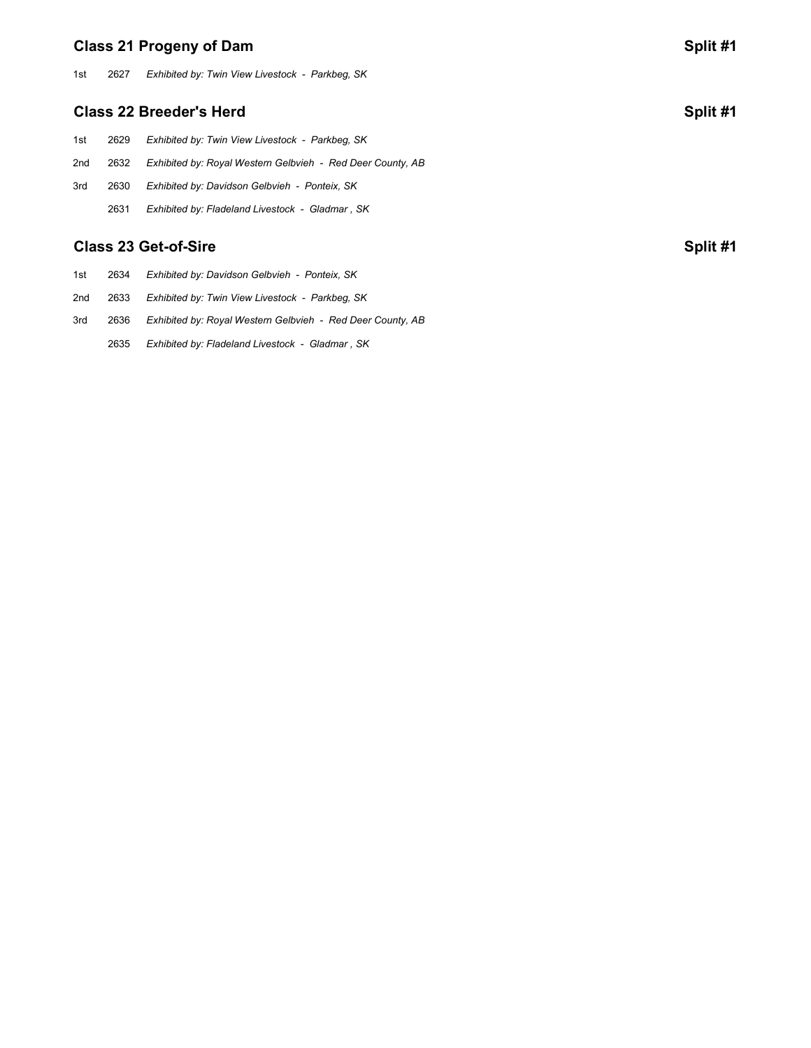# **Class 21 Progeny of Dam Split #1**

1st 2627 *Exhibited by: Twin View Livestock - Parkbeg, SK*

### **Class 22 Breeder's Herd Split #1**

1st 2629 *Exhibited by: Twin View Livestock - Parkbeg, SK* 2nd 2632 *Exhibited by: Royal Western Gelbvieh - Red Deer County, AB* 3rd 2630 *Exhibited by: Davidson Gelbvieh - Ponteix, SK* 2631 *Exhibited by: Fladeland Livestock - Gladmar , SK*

# **Class 23 Get-of-Sire Split #1**

- 1st 2634 *Exhibited by: Davidson Gelbvieh Ponteix, SK*
- 2nd 2633 *Exhibited by: Twin View Livestock Parkbeg, SK*
- 3rd 2636 *Exhibited by: Royal Western Gelbvieh Red Deer County, AB*
	- 2635 *Exhibited by: Fladeland Livestock Gladmar , SK*